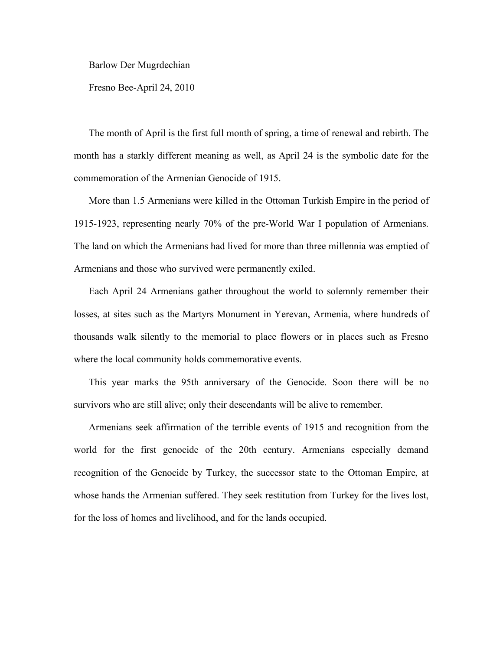Barlow Der Mugrdechian

Fresno Bee-April 24, 2010

The month of April is the first full month of spring, a time of renewal and rebirth. The month has a starkly different meaning as well, as April 24 is the symbolic date for the commemoration of the Armenian Genocide of 1915.

More than 1.5 Armenians were killed in the Ottoman Turkish Empire in the period of 1915-1923, representing nearly 70% of the pre-World War I population of Armenians. The land on which the Armenians had lived for more than three millennia was emptied of Armenians and those who survived were permanently exiled.

Each April 24 Armenians gather throughout the world to solemnly remember their losses, at sites such as the Martyrs Monument in Yerevan, Armenia, where hundreds of thousands walk silently to the memorial to place flowers or in places such as Fresno where the local community holds commemorative events.

This year marks the 95th anniversary of the Genocide. Soon there will be no survivors who are still alive; only their descendants will be alive to remember.

Armenians seek affirmation of the terrible events of 1915 and recognition from the world for the first genocide of the 20th century. Armenians especially demand recognition of the Genocide by Turkey, the successor state to the Ottoman Empire, at whose hands the Armenian suffered. They seek restitution from Turkey for the lives lost, for the loss of homes and livelihood, and for the lands occupied.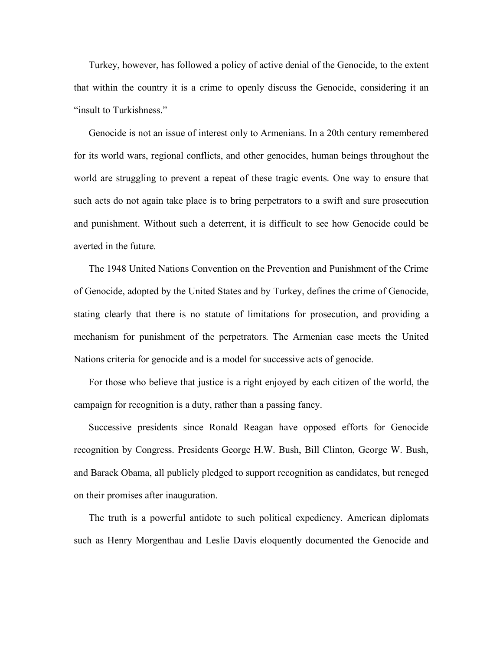Turkey, however, has followed a policy of active denial of the Genocide, to the extent that within the country it is a crime to openly discuss the Genocide, considering it an "insult to Turkishness."

Genocide is not an issue of interest only to Armenians. In a 20th century remembered for its world wars, regional conflicts, and other genocides, human beings throughout the world are struggling to prevent a repeat of these tragic events. One way to ensure that such acts do not again take place is to bring perpetrators to a swift and sure prosecution and punishment. Without such a deterrent, it is difficult to see how Genocide could be averted in the future.

The 1948 United Nations Convention on the Prevention and Punishment of the Crime of Genocide, adopted by the United States and by Turkey, defines the crime of Genocide, stating clearly that there is no statute of limitations for prosecution, and providing a mechanism for punishment of the perpetrators. The Armenian case meets the United Nations criteria for genocide and is a model for successive acts of genocide.

For those who believe that justice is a right enjoyed by each citizen of the world, the campaign for recognition is a duty, rather than a passing fancy.

Successive presidents since Ronald Reagan have opposed efforts for Genocide recognition by Congress. Presidents George H.W. Bush, Bill Clinton, George W. Bush, and Barack Obama, all publicly pledged to support recognition as candidates, but reneged on their promises after inauguration.

The truth is a powerful antidote to such political expediency. American diplomats such as Henry Morgenthau and Leslie Davis eloquently documented the Genocide and